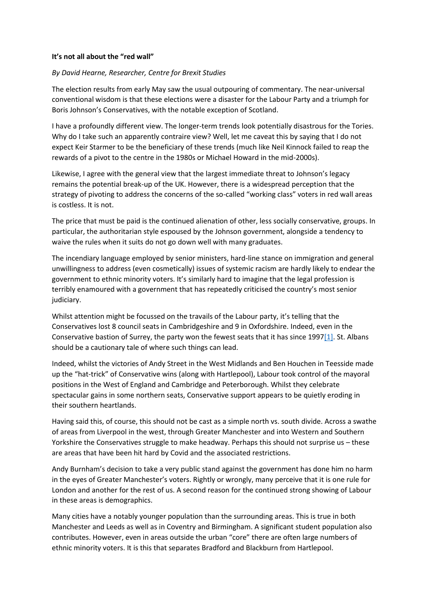## **It's not all about the "red wall"**

## *By David Hearne, Researcher, Centre for Brexit Studies*

The election results from early May saw the usual outpouring of commentary. The near-universal conventional wisdom is that these elections were a disaster for the Labour Party and a triumph for Boris Johnson's Conservatives, with the notable exception of Scotland.

I have a profoundly different view. The longer-term trends look potentially disastrous for the Tories. Why do I take such an apparently contraire view? Well, let me caveat this by saying that I do not expect Keir Starmer to be the beneficiary of these trends (much like Neil Kinnock failed to reap the rewards of a pivot to the centre in the 1980s or Michael Howard in the mid-2000s).

Likewise, I agree with the general view that the largest immediate threat to Johnson's legacy remains the potential break-up of the UK. However, there is a widespread perception that the strategy of pivoting to address the concerns of the so-called "working class" voters in red wall areas is costless. It is not.

The price that must be paid is the continued alienation of other, less socially conservative, groups. In particular, the authoritarian style espoused by the Johnson government, alongside a tendency to waive the rules when it suits do not go down well with many graduates.

The incendiary language employed by senior ministers, hard-line stance on immigration and general unwillingness to address (even cosmetically) issues of systemic racism are hardly likely to endear the government to ethnic minority voters. It's similarly hard to imagine that the legal profession is terribly enamoured with a government that has repeatedly criticised the country's most senior judiciary.

Whilst attention might be focussed on the travails of the Labour party, it's telling that the Conservatives lost 8 council seats in Cambridgeshire and 9 in Oxfordshire. Indeed, even in the Conservative bastion of Surrey, the party won the fewest seats that it has since  $1997[1]$ . St. Albans should be a cautionary tale of where such things can lead.

Indeed, whilst the victories of Andy Street in the West Midlands and Ben Houchen in Teesside made up the "hat-trick" of Conservative wins (along with Hartlepool), Labour took control of the mayoral positions in the West of England and Cambridge and Peterborough. Whilst they celebrate spectacular gains in some northern seats, Conservative support appears to be quietly eroding in their southern heartlands.

Having said this, of course, this should not be cast as a simple north vs. south divide. Across a swathe of areas from Liverpool in the west, through Greater Manchester and into Western and Southern Yorkshire the Conservatives struggle to make headway. Perhaps this should not surprise us – these are areas that have been hit hard by Covid and the associated restrictions.

Andy Burnham's decision to take a very public stand against the government has done him no harm in the eyes of Greater Manchester's voters. Rightly or wrongly, many perceive that it is one rule for London and another for the rest of us. A second reason for the continued strong showing of Labour in these areas is demographics.

Many cities have a notably younger population than the surrounding areas. This is true in both Manchester and Leeds as well as in Coventry and Birmingham. A significant student population also contributes. However, even in areas outside the urban "core" there are often large numbers of ethnic minority voters. It is this that separates Bradford and Blackburn from Hartlepool.